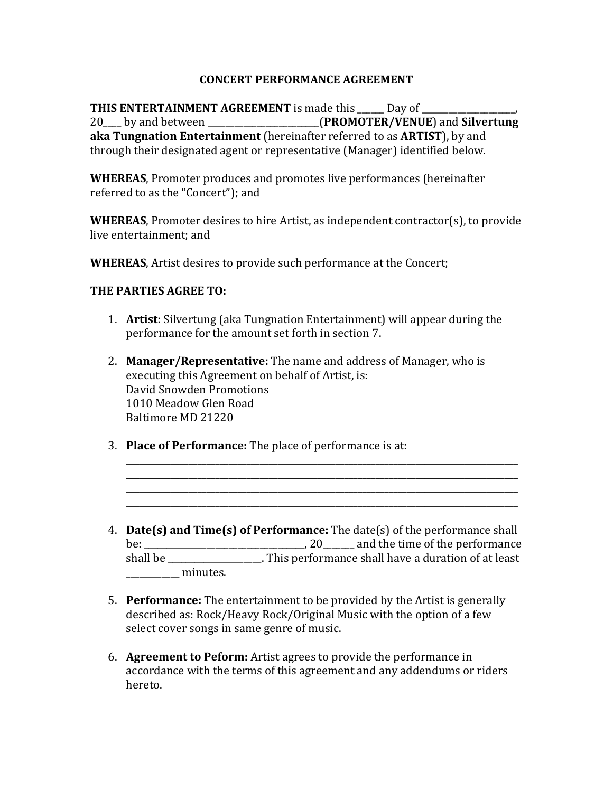## **CONCERT PERFORMANCE AGREEMENT**

**THIS ENTERTAINMENT AGREEMENT** is made this Leav of 20 by and between **COVID-EXAMPLE** (**PROMOTER/VENUE**) and **Silvertung aka Tungnation Entertainment** (hereinafter referred to as **ARTIST**), by and through their designated agent or representative (Manager) identified below.

**WHEREAS**, Promoter produces and promotes live performances (hereinafter referred to as the "Concert"); and

**WHEREAS**, Promoter desires to hire Artist, as independent contractor(s), to provide live entertainment: and

**WHEREAS**, Artist desires to provide such performance at the Concert;

## **THE PARTIES AGREE TO:**

- 1. **Artist:** Silvertung (aka Tungnation Entertainment) will appear during the performance for the amount set forth in section 7.
- 2. **Manager/Representative:** The name and address of Manager, who is executing this Agreement on behalf of Artist, is: David Snowden Promotions 1010 Meadow Glen Road Baltimore MD 21220
- 3. **Place of Performance:** The place of performance is at:
- 4. **Date(s) and Time(s) of Performance:** The date(s) of the performance shall be:  $\frac{1}{\sqrt{2}}$  20 and the time of the performance shall be \_\_\_\_\_\_\_\_\_\_\_\_\_\_\_\_\_\_. This performance shall have a duration of at least  $minutes.$

**\_\_\_\_\_\_\_\_\_\_\_\_\_\_\_\_\_\_\_\_\_\_\_\_\_\_\_\_\_\_\_\_\_\_\_\_\_\_\_\_\_\_\_\_\_\_\_\_\_\_\_\_\_\_\_\_\_\_\_\_\_\_\_\_\_\_\_\_\_\_\_\_\_\_\_\_\_\_\_\_\_\_\_\_\_\_\_\_ \_\_\_\_\_\_\_\_\_\_\_\_\_\_\_\_\_\_\_\_\_\_\_\_\_\_\_\_\_\_\_\_\_\_\_\_\_\_\_\_\_\_\_\_\_\_\_\_\_\_\_\_\_\_\_\_\_\_\_\_\_\_\_\_\_\_\_\_\_\_\_\_\_\_\_\_\_\_\_\_\_\_\_\_\_\_\_\_ \_\_\_\_\_\_\_\_\_\_\_\_\_\_\_\_\_\_\_\_\_\_\_\_\_\_\_\_\_\_\_\_\_\_\_\_\_\_\_\_\_\_\_\_\_\_\_\_\_\_\_\_\_\_\_\_\_\_\_\_\_\_\_\_\_\_\_\_\_\_\_\_\_\_\_\_\_\_\_\_\_\_\_\_\_\_\_\_ \_\_\_\_\_\_\_\_\_\_\_\_\_\_\_\_\_\_\_\_\_\_\_\_\_\_\_\_\_\_\_\_\_\_\_\_\_\_\_\_\_\_\_\_\_\_\_\_\_\_\_\_\_\_\_\_\_\_\_\_\_\_\_\_\_\_\_\_\_\_\_\_\_\_\_\_\_\_\_\_\_\_\_\_\_\_\_\_**

- 5. **Performance:** The entertainment to be provided by the Artist is generally described as: Rock/Heavy Rock/Original Music with the option of a few select cover songs in same genre of music.
- 6. **Agreement to Peform:** Artist agrees to provide the performance in accordance with the terms of this agreement and any addendums or riders hereto.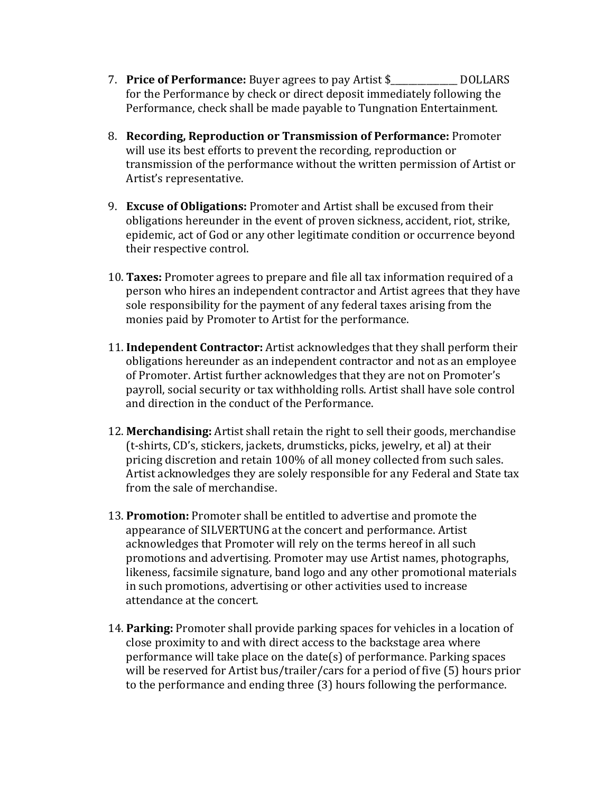- 7. **Price of Performance:** Buyer agrees to pay Artist \$ DOLLARS for the Performance by check or direct deposit immediately following the Performance, check shall be made payable to Tungnation Entertainment.
- 8. **Recording, Reproduction or Transmission of Performance:** Promoter will use its best efforts to prevent the recording, reproduction or transmission of the performance without the written permission of Artist or Artist's representative.
- 9. **Excuse of Obligations:** Promoter and Artist shall be excused from their obligations hereunder in the event of proven sickness, accident, riot, strike, epidemic, act of God or any other legitimate condition or occurrence beyond their respective control.
- 10. **Taxes:** Promoter agrees to prepare and file all tax information required of a person who hires an independent contractor and Artist agrees that they have sole responsibility for the payment of any federal taxes arising from the monies paid by Promoter to Artist for the performance.
- 11. **Independent Contractor:** Artist acknowledges that they shall perform their obligations hereunder as an independent contractor and not as an employee of Promoter. Artist further acknowledges that they are not on Promoter's payroll, social security or tax withholding rolls. Artist shall have sole control and direction in the conduct of the Performance.
- 12. Merchandising: Artist shall retain the right to sell their goods, merchandise (t-shirts, CD's, stickers, jackets, drumsticks, picks, jewelry, et al) at their pricing discretion and retain 100% of all money collected from such sales. Artist acknowledges they are solely responsible for any Federal and State tax from the sale of merchandise.
- 13. **Promotion:** Promoter shall be entitled to advertise and promote the appearance of SILVERTUNG at the concert and performance. Artist acknowledges that Promoter will rely on the terms hereof in all such promotions and advertising. Promoter may use Artist names, photographs, likeness, facsimile signature, band logo and any other promotional materials in such promotions, advertising or other activities used to increase attendance at the concert.
- 14. **Parking:** Promoter shall provide parking spaces for vehicles in a location of close proximity to and with direct access to the backstage area where performance will take place on the date(s) of performance. Parking spaces will be reserved for Artist bus/trailer/cars for a period of five  $(5)$  hours prior to the performance and ending three (3) hours following the performance.